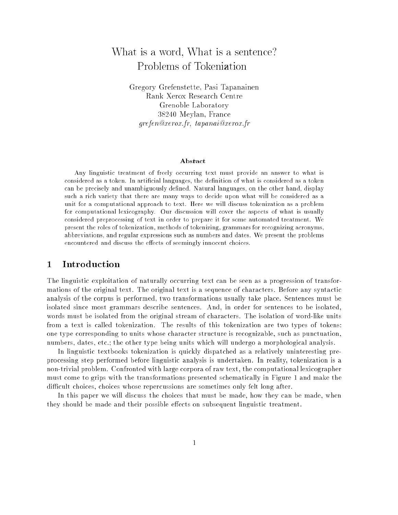# What is <sup>a</sup> word, What is <sup>a</sup> sentence? Problems of Tokenization

Gregory Grefenstette, Pasi Tapanainen Grenoble Laboratory Laboratory  $382 - 582$  means  $482 - 582$ grefen ward an in de frankenige andere warden in de

### Abstract

Any linguistic treatment of freely occurring text must provide an answer to what is considered as a token. In artificial languages, the definition of what is considered as a token can be precisely and unambiguously defined. Natural languages, on the other hand, display such a rich variety that there are many ways to decide upon what will be considered as a unit for a computational approach to text. Here we will discuss tokenization as a problem for computational lexicography. Our discussion will cover the aspects of what is usually considered preprocessing of text in order to prepare it for some automated treatment. We present the roles of tokenization, methods of tokenizing, grammars for recognizing acronyms, abbreviations, and regular expressions such as numbers and dates. We present the problems encountered and discuss the effects of seemingly innocent choices.

### 1Introduction

The linguistic exploitation of naturally occurring text can be seen as a progression of transformations of the original text. The original text is a sequence of characters. Before any syntactic analysis of the corpus is performed, two transformations usually take place. Sentences must be isolated since most grammars describe sentences. And, in order for sentences to be isolated, words must be isolated from the original stream of characters. The isolation of word-like units from a text is called tokenization. The results of this tokenization are two types of tokens: one type corresponding to units whose character structure is recognizable, such as punctuation, numbers, dates, etc.; the other type being units which will undergo a morphological analysis.

In linguistic textbooks tokenization is quickly dispatched as a relatively uninteresting preprocessing step performed before linguistic analysis is undertaken. In reality, tokenization is a non-trivial problem. Confronted with large corpora of raw text, the computational lexicographer must come to grips with the transformations presented schematically in Figure 1 and make the difficult choices, choices whose repercussions are sometimes only felt long after.

In this paper we will discuss the choices that must be made, how they can be made, when they should be made and their possible effects on subsequent linguistic treatment.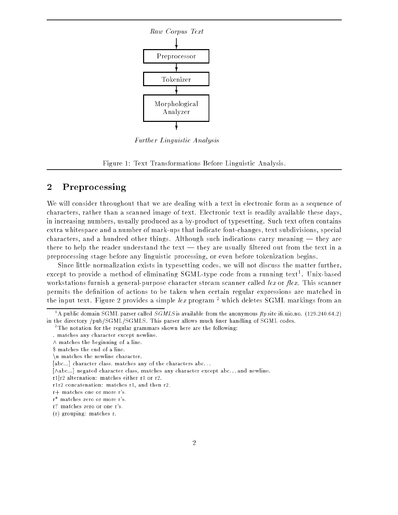

Further Linguistic Analysis

Figure 1: Text Transformations Before Linguistic Analysis.

### $\overline{2}$ Preprocessing

We will consider throughout that we are dealing with a text in electronic form as a sequence of characters, rather than a scanned image of text. Electronic text is readily available these days, in increasing numbers, usually produced as a by-product of typesetting. Such text often contains extra whitespace and a number of mark-ups that indicate font-changes, text subdivisions, special characters, and a hundred other things. Although such indications carry meaning — they are there to help the reader understand the text — they are usually filtered out from the text in a preprocessing stage before any linguistic processing, or even before tokenization begins.

Since little normalization exists in typesetting codes, we will not discuss the matter further, except to provide a method of eliminating SGML-type code from a running text". Unix-based workstations furnish a general-purpose character stream scanner called lex or flex. This scanner permits the definition of actions to be taken when certain regular expressions are matched in the input text. Figure 2 provides a simple  $lex$  program  $^2$  which deletes SGML markings from an

The notation for the regular grammars shown here are the following:

<sup>-</sup> A public domain SGML parser called SG*MLS* is available from the anonymous  $\mu p$  site in ulo no. (129.240.64.2) in the directory /pub/SGML/SGMLS. This parser allows much finer handling of SGML codes.

<sup>.</sup> matches any character except newline.

 $\wedge$  matches the beginning of a line.

<sup>\$</sup> matches the end of a line.

 $\ln$  matches the newline character.

<sup>[</sup>abc...] character class, matches any of the characters abc...

<sup>[^</sup>abc...] negated character class, matches any character except abc. . . and newline.

r1jr2 alternation: matches either r1 or r2.

r1r2 concatenation: matches r1, and then r2.

r+ matches one or more r's.

r\* matches zero or more r's.

r? matches zero or one r's.

<sup>(</sup>r) grouping: matches r.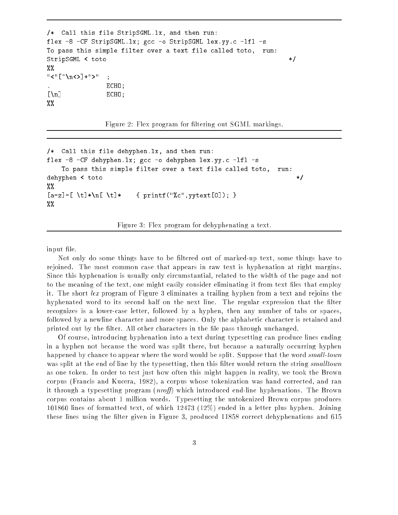```
/* Call this file StripSGML.lx, and then run:
flex -8 -CF StripSGML.lx; gcc -o StripSGML lex.yy.c -lfl -s
To pass this simple filter over a text file called toto, run:
StripSGML < toto */
%%
"<"[^\n<>]+">" ;
              . ECHO;
\lbrack \n\brack n \rbrack ECHO;
%%
```
Figure 2: Flex program for filtering out SGML markings.

```
/* Call this file dehyphen.lx, and then run:
flex -8 -CF dehyphen.lx; gcc -o dehyphen lex.yy.c -lfl -s
    To pass this simple filter over a text file called toto,
                                                                   run:
dehyphen < toto */
\frac{1}{2}%
[a-z] - [ \setminus t] * \setminus n[ \setminus t] * \qquad \{ \text{print}("%c", \text{system}[0]); \}\frac{2\%}{\%}
```
Figure 3: Flex program for dehyphenating a text.

input file.

Not only do some things have to be filtered out of marked-up text, some things have to rejoined. The most common case that appears in raw text is hyphenation at right margins. Since this hyphenation is usually only circumstantial, related to the width of the page and not to the meaning of the text, one might easily consider eliminating it from text les that employ it. The short lex program of Figure 3 eliminates a trailing hyphen from a text and rejoins the hyphenated word to its second half on the next line. The regular expression that the filter recognizes is a lower-case letter, followed by a hyphen, then any number of tabs or spaces, followed by a newline character and more spaces. Only the alphabetic character is retained and printed out by the filter. All other characters in the file pass through unchanged.

Of course, introducing hyphenation into a text during typesetting can produce lines ending in a hyphen not because the word was split there, but because a naturally occurring hyphen happened by chance to appear where the word would be split. Suppose that the word small-town was split at the end of line by the typesetting, then this filter would return the string smalltown as one token. In order to test just how often this might happen in reality, we took the Brown corpus (Francis and Kucera, 1982), a corpus whose tokenization was hand corrected, and ran it through a typesetting program (*nroff*) which introduced end-line hyphenations. The Brown corpus contains about 1 million words. Typesetting the untokenized Brown corpus produces 101860 lines of formatted text, of which 12473 (12%) ended in a letter plus hyphen. Joining these lines using the filter given in Figure 3, produced 11858 correct dehyphenations and 615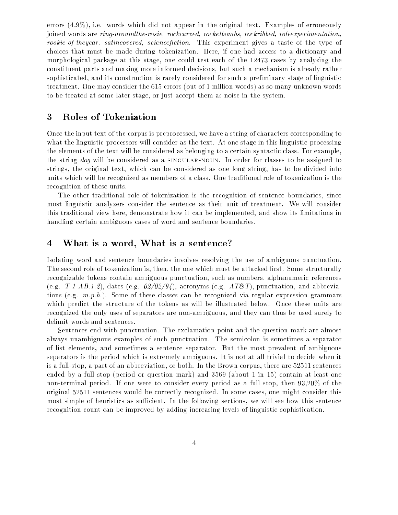errors (4.9%), i.e. words which did not appear in the original text. Examples of erroneously joined words are ring-aroundthe-rosie, rockcarved, rocketbombs, rockribbed, roleexperimentation, rookie-of-theyear, satincovered, sciencefiction. This experiment gives a taste of the type of choices that must be made during tokenization. Here, if one had access to a dictionary and morphological package at this stage, one could test each of the 12473 cases by analyzing the constituent parts and making more informed decisions, but such a mechanism is already rather sophisticated, and its construction is rarely considered for such a preliminary stage of linguistic treatment. One may consider the 615 errors (out of 1 million words) as so many unknown words to be treated at some later stage, or just accept them as noise in the system.

### 3Roles of Tokenization

Once the input text of the corpus is preprocessed, we have a string of characters corresponding to what the linguistic processors will consider as the text. At one stage in this linguistic processing the elements of the text will be considered as belonging to a certain syntactic class. For example, the string dog will be considered as a SINGULAR-NOUN. In order for classes to be assigned to strings, the original text, which can be considered as one long string, has to be divided into units which will be recognized as members of a class. One traditional role of tokenization is the recognition of these units.

The other traditional role of tokenization is the recognition of sentence boundaries, since most linguistic analyzers consider the sentence as their unit of treatment. We will consider this traditional view here, demonstrate how it can be implemented, and show its limitations in handling certain ambiguous cases of word and sentence boundaries.

#### 4What is <sup>a</sup> word, What is <sup>a</sup> sentence?

Isolating word and sentence boundaries involves resolving the use of ambiguous punctuation. The second role of tokenization is, then, the one which must be attacked first. Some structurally recognizable tokens contain ambiguous punctuation, such as numbers, alphanumeric references (e.g. T-1-AB.1.2), dates (e.g.  $02/02/94$ ), acronyms (e.g.  $ATET$ ), punctuation, and abbreviations (e.g.  $m.p.h.$ ). Some of these classes can be recognized via regular expression grammars which predict the structure of the tokens as will be illustrated below. Once these units are recognized the only uses of separators are non-ambiguous, and they can thus be used surely to delimit words and sentences.

Sentences end with punctuation. The exclamation point and the question mark are almost always unambiguous examples of such punctuation. The semicolon is sometimes a separator of list elements, and sometimes a sentence separator. But the most prevalent of ambiguous separators is the period which is extremely ambiguous. It is not at all trivial to decide when it is a full-stop, a part of an abbreviation, or both. In the Brown corpus, there are 52511 sentences ended by a full stop (period or question mark) and 3569 (about 1 in 15) contain at least one non-terminal period. If one were to consider every period as a full stop, then 93,20% of the original 52511 sentences would be correctly recognized. In some cases, one might consider this most simple of heuristics as sufficient. In the following sections, we will see how this sentence recognition count can be improved by adding increasing levels of linguistic sophistication.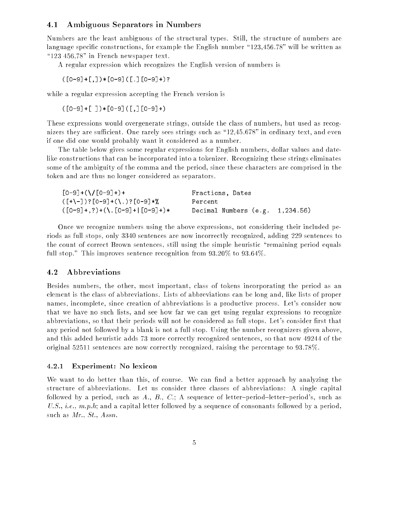# 4.1 Ambiguous Separators in Numbers

Numbers are the least ambiguous of the structural types. Still, the structure of numbers are language specific constructions, for example the English number "123,456.78" will be written as " $123$  456,78" in French newspaper text.

A regular expression which recognizes the English version of numbers is

 $( [0-9]+[,]) * [0-9] ( [.0-9]+) ?$ 

while a regular expression accepting the French version is

 $([0-9]+[ )*(0-9] ([,][0-9]+)$ 

These expressions would overgenerate strings, outside the class of numbers, but used as recognizers they are sufficient. One rarely sees strings such as "12,45.678" in ordinary text, and even if one did one would probably want it considered as a number.

The table below gives some regular expressions for English numbers, dollar values and datelike constructions that can be incorporated into a tokenizer. Recognizing these strings eliminates some of the ambiguity of the comma and the period, since these characters are comprised in the token and are thus no longer considered as separators.

| $[0-9]+(\1/[0-9]+)+$             | Fractions, Dates                   |
|----------------------------------|------------------------------------|
| $($ [+\-])?[0-9]+(\.)?[0-9]*%]   | Percent                            |
| $([0-9]+,?)+(\. [0-9]+ [0-9]+)*$ | Decimal Numbers $(e.g. 1, 234.56)$ |

Once we recognize numbers using the above expressions, not considering their included periods as full stops, only 3340 sentences are now incorrectly recognized, adding 229 sentences to the count of correct Brown sentences, still using the simple heuristic \remaining period equals full stop." This improves sentence recognition from  $93.20\%$  to  $93.64\%$ .

# 4.2 Abbreviations

Besides numbers, the other, most important, class of tokens incorporating the period as an element is the class of abbreviations. Lists of abbreviations can be long and, like lists of proper names, incomplete, since creation of abbreviations is a productive process. Let's consider now that we have no such lists, and see how far we can get using regular expressions to recognize abbreviations, so that their periods will not be considered as full stops. Let's consider first that any period not followed by a blank is not a full stop. Using the number recognizers given above, and this added heuristic adds 73 more correctly recognized sentences, so that now 49244 of the original 52511 sentences are now correctly recognized, raising the percentage to 93.78%.

## Experiment: No lexicon

We want to do better than this, of course. We can find a better approach by analyzing the structure of abbreviations. Let us consider three classes of abbreviations: A single capital followed by a period, such as A., B., C.; A sequence of letter-period-letter-period's, such as U.S., *i.e.*,  $m.p.h$ ; and a capital letter followed by a sequence of consonants followed by a period. such as Mr., St., Assn.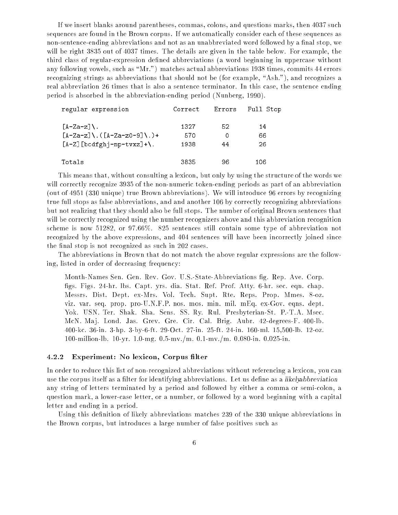If we insert blanks around parentheses, commas, colons, and questions marks, then 4037 such sequences are found in the Brown corpus. If we automatically consider each of these sequences as non-sentence-ending abbreviations and not as an unabbreviated word followed by a final stop, we will be right 3835 out of 4037 times. The details are given in the table below. For example, the third class of regular-expression defined abbreviations (a word beginning in uppercase without any following vowels, such as "Mr.") matches actual abbreviations 1938 times, commits 44 errors recognizing strings as abbreviations that should not be (for example, "Ash."), and recognizes a real abbreviation 26 times that is also a sentence terminator. In this case, the sentence ending period is absorbed in the abbreviation-ending period (Nunberg, 1990).

| regular expression           | Correct | Errors | Full Stop |
|------------------------------|---------|--------|-----------|
| $\lceil A-Za-z\rceil$        | 1327    | 52.    | 14        |
| $[A-Za-z]\ \ (A-Za-z0-9]\ \$ | 570     | O      | 66        |
| $[A-Z]$ [bcdfghj-np-tvxz]+\. | 1938    | 44     | 26        |
| Totals                       | 3835    | 96     | 106       |

This means that, without consulting a lexicon, but only by using the structure of the words we will correctly recognize 3935 of the non-numeric token-ending periods as part of an abbreviation (out of 4951 (330 unique) true Brown abbreviations). We will introduce 96 errors by recognizing true full stops as false abbreviations, and and another 106 by correctly recognizing abbreviations but not realizing that they should also be full stops. The number of original Brown sentences that will be correctly recognized using the number recognizers above and this abbreviation recognition scheme is now 51282, or 97.66%. 825 sentences still contain some type of abbreviation not recognized by the above expressions, and 404 sentences will have been incorrectly joined since the final stop is not recognized as such in 202 cases.

The abbreviations in Brown that do not match the above regular expressions are the following, listed in order of decreasing frequency:

Month-Names Sen. Gen. Rev. Gov. U.S.-State-Abbreviations g. Rep. Ave. Corp. figs. Figs. 24-hr. lbs. Capt. yrs. dia. Stat. Ref. Prof. Atty. 6-hr. sec. eqn. chap. Messrs. Dist. Dept. ex-Mrs. Vol. Tech. Supt. Rte. Reps. Prop. Mmes. 8-oz. viz. var. seq. prop. pro-U.N.F.P. nos. mos. min. mil. mEq. ex-Gov. eqns. dept. Yok. USN. Ter. Shak. Sha. Sens. SS. Ry. Rul. Presbyterian-St. P.-T.A. Msec. McN. Maj. Lond. Jas. Grev. Gre. Cir. Cal. Brig. Aubr. 42-degrees-F. 400-lb. 400-kc. 36-in. 3-hp. 3-by-6-ft. 29-Oct. 27-in. 25-ft. 24-in. 160-ml. 15,500-lb. 12-oz. 100-million-lb. 10-yr. 1.0-mg. 0.5-mv./m. 0.1-mv./m. 0.080-in. 0.025-in.

#### 4.2.2Experiment: No lexicon, Corpus filter

In order to reduce this list of non-recognized abbreviations without referencing a lexicon, you can use the corpus itself as a filter for identifying abbreviations. Let us define as a likely abbreviation any string of letters terminated by a period and followed by either a comma or semi-colon, a question mark, a lower-case letter, or a number, or followed by a word beginning with a capital letter and ending in a period.

Using this definition of likely abbreviations matches 239 of the 330 unique abbreviations in the Brown corpus, but introduces a large number of false positives such as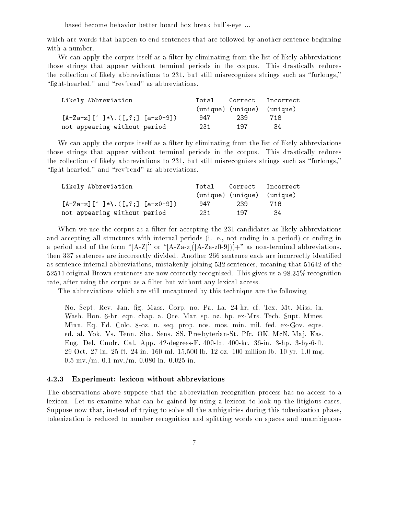based become behavior better board box break bull's-eye ...

which are words that happen to end sentences that are followed by another sentence beginning with a number.

We can apply the corpus itself as a filter by eliminating from the list of likely abbreviations those strings that appear without terminal periods in the corpus. This drastically reduces the collection of likely abbreviations to 231, but still misrecognizes strings such as \furlongs," " $\mathbf{light\text{-}hearted}$ ," and "rev'rend" as abbreviations.

| Likely Abbreviation                                        |     |                            | Total Correct Incorrect |
|------------------------------------------------------------|-----|----------------------------|-------------------------|
|                                                            |     | (unique) (unique) (unique) |                         |
| $[A-Za-z]$ $[\hat{ } ]$ $*\hat{ }$ . $([, ?;]$ $[a-z0-9])$ | 947 | -239                       | 718                     |
| not appearing without period                               | 231 | - 197                      | -34                     |

We can apply the corpus itself as a filter by eliminating from the list of likely abbreviations those strings that appear without terminal periods in the corpus. This drastically reduces the collection of likely abbreviations to 231, but still misrecognizes strings such as \furlongs," " $\mathbf{light\text{-}hearted}$ ," and "rev'rend" as abbreviations.

| Likely Abbreviation                                               |       |                            | Total Correct Incorrect |
|-------------------------------------------------------------------|-------|----------------------------|-------------------------|
|                                                                   |       | (unique) (unique) (unique) |                         |
| $[A-Za-z]$ $[\hat{ } ]$ $* \backslash . ( [ , ? ; ]$ $[a-z0-9] )$ | 947   | -239                       | 718                     |
| not appearing without period                                      | -231- | - 197                      | -34                     |

When we use the corpus as a filter for accepting the 231 candidates as likely abbreviations and accepting all structures with internal periods (i. e., not ending in a period) or ending in a period and of the form " $[A-Z]$ " or " $[A-Za-z] (A-Za-z0-9])$  +" as non-terminal abbreviations, then 337 sentences are incorrectly divided. Another 266 sentence ends are incorrectly identied as sentence internal abbreviations, mistakenly joining 532 sentences, meaning that 51642 of the 52511 original Brown sentences are now correctly recognized. This gives us a 98.35% recognition rate, after using the corpus as a filter but without any lexical access.

The abbreviations which are still uncaptured by this technique are the following

No. Sept. Rev. Jan. g. Mass. Corp. no. Pa. La. 24-hr. cf. Tex. Mt. Miss. in. Wash. Hon. 6-hr. eqn. chap. a. Ore. Mar. sp. oz. hp. ex-Mrs. Tech. Supt. Mmes. Minn. Eq. Ed. Colo. 8-oz. u. seq. prop. nos. mos. min. mil. fed. ex-Gov. eqns. ed. al. Yok. Vs. Tenn. Sha. Sens. SS. Presbyterian-St. Pfc. OK. McN. Maj. Kas. Eng. Del. Cmdr. Cal. App. 42-degrees-F. 400-lb. 400-kc. 36-in. 3-hp. 3-by-6-ft. 29-Oct. 27-in. 25-ft. 24-in. 160-ml. 15,500-lb. 12-oz. 100-million-lb. 10-yr. 1.0-mg. 0.5-mv./m. 0.1-mv./m. 0.080-in. 0.025-in.

#### 4.2.3Experiment: lexicon without abbreviations

The observations above suppose that the abbreviation recognition process has no access to a lexicon. Let us examine what can be gained by using a lexicon to look up the litigious cases. Suppose now that, instead of trying to solve all the ambiguities during this tokenization phase, tokenization is reduced to number recognition and splitting words on spaces and unambiguous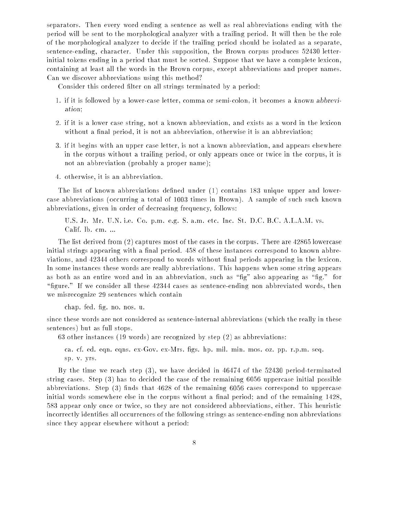separators. Then every word ending a sentence as well as real abbreviations ending with the period will be sent to the morphological analyzer with a trailing period. It will then be the role of the morphological analyzer to decide if the trailing period should be isolated as a separate, sentence-ending, character. Under this supposition, the Brown corpus produces 52430 letterinitial tokens ending in a period that must be sorted. Suppose that we have a complete lexicon, containing at least all the words in the Brown corpus, except abbreviations and proper names. Can we discover abbreviations using this method?

Consider this ordered filter on all strings terminated by a period:

- 1. if it is followed by a lower-case letter, comma or semi-colon, it becomes a known abbreviation;
- 2. if it is a lower case string, not a known abbreviation, and exists as a word in the lexicon without a final period, it is not an abbreviation, otherwise it is an abbreviation;
- 3. if it begins with an upper case letter, is not a known abbreviation, and appears elsewhere in the corpus without a trailing period, or only appears once or twice in the corpus, it is not an abbreviation (probably a proper name);
- 4. otherwise, it is an abbreviation.

The list of known abbreviations defined under (1) contains 183 unique upper and lowercase abbreviations (occurring a total of 1003 times in Brown). A sample of such such known abbreviations, given in order of decreasing frequency, follows:

U.S. Jr. Mr. U.N. i.e. Co. p.m. e.g. S. a.m. etc. Inc. St. D.C. B.C. A.L.A.M. vs. Calif. lb. cm. ...

The list derived from (2) captures most of the cases in the corpus. There are 42865 lowercase initial strings appearing with a final period. 458 of these instances correspond to known abbreviations, and 42344 others correspond to words without final periods appearing in the lexicon. In some instances these words are really abbreviations. This happens when some string appears as both as an entire word and in an abbreviation, such as "fig." also appearing as "fig." for "figure." If we consider all these  $42344$  cases as sentence-ending non abbreviated words, then we misrecognize 29 sentences which contain

chap. fed. fig. no. nos. u.

since these words are not considered as sentence-internal abbreviations (which the really in these sentences) but as full stops.

63 other instances (19 words) are recognized by step (2) as abbreviations:

ca. cf. ed. eqn. eqns. ex-Gov. ex-Mrs. gs. hp. mil. min. mos. oz. pp. r.p.m. seq. sp. v. yrs.

By the time we reach step (3), we have decided in 46474 of the 52430 period-terminated string cases. Step (3) has to decided the case of the remaining 6056 uppercase initial possible abbreviations. Step  $(3)$  finds that 4628 of the remaining 6056 cases correspond to uppercase initial words somewhere else in the corpus without a final period; and of the remaining  $1428$ , 583 appear only once or twice, so they are not considered abbreviations, either. This heuristic incorrectly identies all occurrences of the following strings as sentence-ending non abbreviations since they appear elsewhere without a period: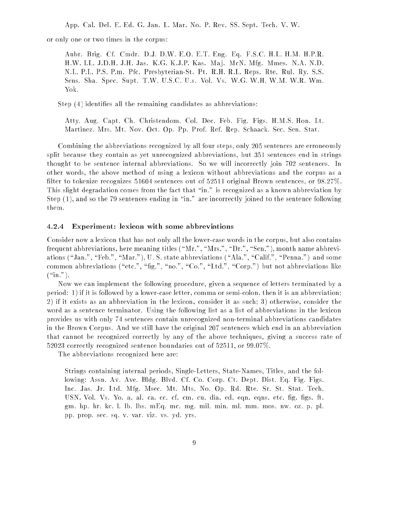App. Cal. Del. E. Ed. G. Jan. L. Mar. No. P. Rev. SS. Sept. Tech. V. W.

or only one or two times in the corpus:

Aubr. Brig. Cf. Cmdr. D.J. D.W. E.O. E.T. Eng. Eq. F.S.C. H.L. H.M. H.P.R. H.W. I.L. J.D.H. J.H. Jas. K.G. K.J.P. Kas. Ma j. McN. Mfg. Mmes. N.A. N.D. N.L. P.L. P.S. P.m. Pfc. Presbyterian-St. Pt. R.H. R.L. Reps. Rte. Rul. Ry. S.S. Sens. Sha. Spec. Supt. T.W. U.S.C. U.s. Vol. Vs. W.G. W.H. W.M. W.R. Wm. Yok.

Step (4) identifies all the remaining candidates as abbreviations:

Atty. Aug. Capt. Ch. Christendom. Col. Dec. Feb. Fig. Figs. H.M.S. Hon. Lt. Martinez. Mrs. Mt. Nov. Oct. Op. Pp. Prof. Ref. Rep. Schaack. Sec. Sen. Stat.

Combining the abbreviations recognized by all four steps, only 205 sentences are erroneously split because they contain as yet unrecognized abbreviations, but 351 sentences end in strings thought to be sentence internal abbreviations. So we will incorrectly join 702 sentences. In other words, the above method of using a lexicon without abbreviations and the corpus as a filter to tokenize recognizes  $51604$  sentences out of  $52511$  original Brown sentences, or  $98.27\%$ . This slight degradation comes from the fact that "in." is recognized as a known abbreviation by Step  $(1)$ , and so the 79 sentences ending in "in." are incorrectly joined to the sentence following them.

#### 4.2.4Experiment: lexicon with some abbreviations

Consider now a lexicon that has not only all the lower-case words in the corpus, but also contains frequent abbreviations, here meaning titles ( $\kappa_{\text{Mr.}}$ ",  $\kappa_{\text{Mr.}}$ ",  $\kappa_{\text{Dr.}}$ ",  $\kappa_{\text{Sen.}}$ "), month name abbreviations ("Jan.", "Feb.", "Mar."), U. S. state abbreviations ("Ala.", "Calif.", "Penna.") and some common abbreviations ("etc.", "fig.", "no.", "Co.", "Ltd.", "Corp.") but not abbreviations like  $(\text{``in''}).$ 

Now we can implement the following procedure, given a sequence of letters terminated by a period: 1) if it is followed by a lower-case letter, comma or semi-colon, then it is an abbreviation; 2) if it exists as an abbreviation in the lexicon, consider it as such; 3) otherwise, consider the word as a sentence terminator. Using the following list as a list of abbreviations in the lexicon provides us with only 74 sentences contain unrecognized non-terminal abbreviations candidates in the Brown Corpus. And we still have the original 207 sentences which end in an abbreviation that cannot be recognized correctly by any of the above techniques, giving a success rate of 52023 correctly recognized sentence boundaries out of 52511, or 99.07%.

The abbreviations recognized here are:

Strings containing internal periods, Single-Letters, State-Names, Titles, and the following: Assn. Av. Ave. Bldg. Blvd. Cf. Co. Corp. Ct. Dept. Dist. Eq. Fig. Figs. Inc. Jas. Jr. Ltd. Mfg. Msec. Mt. Mts. No. Op. Rd. Rte. Sr. St. Stat. Tech. USN. Vol. Vs. Yo. a. al. ca. cc. cf. cm. cu. dia. ed. eqn. eqns. etc. fig. figs. ft. gm. hp. hr. kc. l. lb. lbs. mEq. mc. mg. mil. min. ml. mm. mos. nw. oz. p. pl. pp. prop. sec. sq. v. var. viz. vs. yd. yrs.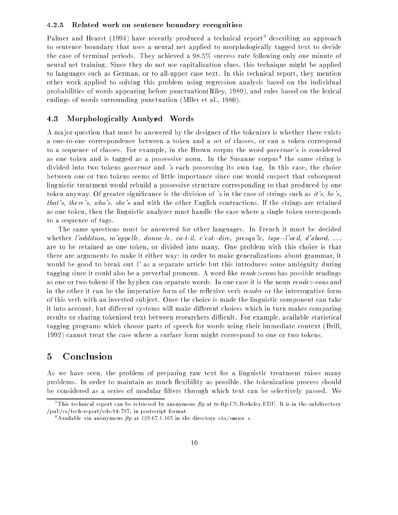#### 4.2.5Related work on sentence boundary recognition

Palmer and Hearst (1994) have recently produced a technical report<sup>3</sup> describing an approach to sentence boundary that uses a neural net applied to morphologically tagged text to decide the case of terminal periods. They achieved a 98.5% success rate following only one minute of neural net training. Since they do not use capitalization clues, this technique might be applied to languages such as German, or to all-upper case text. In this technical report, they mention other work applied to solving this problem using regression analysis based on the individual probabilities of words appearing before punctuation(Riley, 1989), and rules based on the lexical endings of words surrounding punctuation (Mller et al., 1980).

# 4.3 Morphologically Analyzed Words

A ma jor question that must be answered by the designer of the tokenizer is whether there exists a one-to-one correspondence between a token and a set of classes, or can a token correspond to a sequence of classes. For example, in the Brown corpus the word *governor's* is considered as one token and is tagged as a possessive noun. In the Susanne corpus- the same string is divided into two tokens *governor* and 's each possessing its own tag. In this case, the choice between one or two tokens seems of little importance since one would suspect that subsequent linguistic treatment would rebuild a possessive structure corresponding to that produced by one token anyway. Of greater significance is the division of 's in the case of strings such as it's, he's, that's, there's, who's, she's and with the other English contractions. If the strings are retained as one token, then the linguistic analyzer must handle the case where a single token corresponds to a sequence of tags.

The same questions must be answered for other languages. In French it must be decided whether l'addition, m'appelle, donne-le, va-t-il, c'est--dire, presqu'le, tape--l'oeil, d'abord, ... are to be retained as one token, or divided into many. One problem with this choice is that there are arguments to make it either way: in order to make generalizations about grammar, it would be good to break out  $l'$  as a separate article but this introduces some ambiguity during tagging since it could also be a preverbal pronoun. A word like rendez-vous has possible readings as one or two tokens if the hyphen can separate words. In one case it is the noun *rendez-vous* and in the other it can be the imperative form of the reflexive verb *rendre* or the interrogative form of this verb with an inverted sub ject. Once the choice is made the linguistic component can take it into account, but different systems will make different choices which in turn makes comparing results or sharing tokenized text between researchers difficult. For example, available statistical tagging programs which choose parts of speech for words using their immediate context (Brill, 1992) cannot treat the case where a surface form might correspond to one or two tokens.

#### 5Conclusion

As we have seen, the problem of preparing raw text for a linguistic treatment raises many problems. In order to maintain as much flexibility as possible, the tokenization process should be considered as a series of modular filters through which text can be selectively passed. We

 $^\circ$  1 his technical report can be retrieved by anonymous  $\mu p$  at tr-Itp.CS.Berkeley.EDU. It is in the subdirectory /pub/cs/tech-report/cds-94-797, in postscript format.

<sup>&</sup>quot;Available via anonymous  $\mu p$  at 129.67.1.165 in the directory *ota/susanne*.